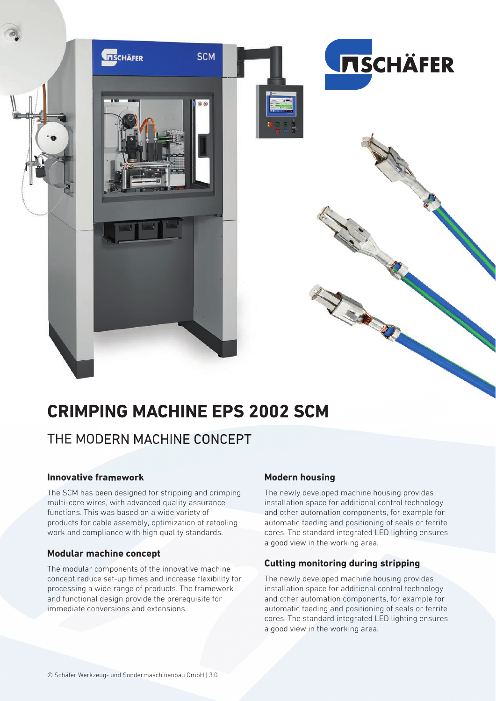

# **CRIMPING MACHINE EPS 2002 SCM**

## THE MODERN MACHINE CONCEPT

#### **Innovative framework**

The SCM has been designed for stripping and crimping multi-core wires, with advanced quality assurance functions. This was based on a wide variety of products for cable assembly, optimization of retooling work and compliance with high quality standards.

#### **Modular machine concept**

The modular components of the innovative machine concept reduce set-up times and increase flexibility for processing a wide range of products. The framework and functional design provide the prerequisite for immediate conversions and extensions.

#### **Modern housing**

The newly developed machine housing provides installation space for additional control technology and other automation components, for example for automatic feeding and positioning of seals or ferrite cores. The standard integrated LED lighting ensures a good view in the working area.

#### **Cutting monitoring during stripping**

The newly developed machine housing provides installation space for additional control technology and other automation components, for example for automatic feeding and positioning of seals or ferrite cores. The standard integrated LED lighting ensures a good view in the working area.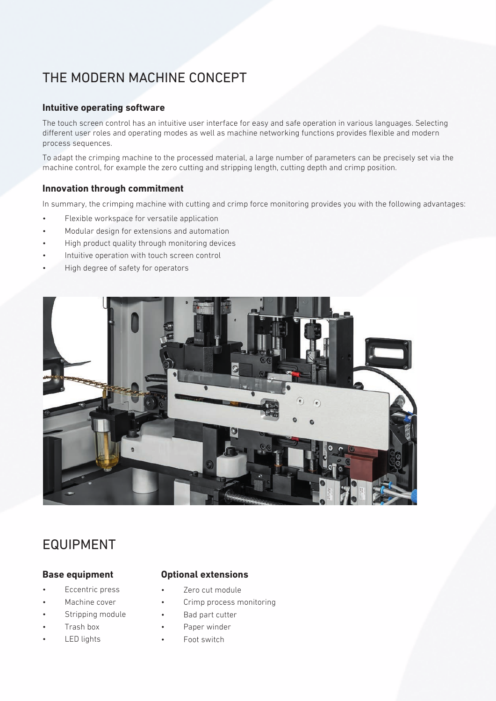# THE MODERN MACHINE CONCEPT

#### **Intuitive operating software**

The touch screen control has an intuitive user interface for easy and safe operation in various languages. Selecting different user roles and operating modes as well as machine networking functions provides flexible and modern process sequences.

To adapt the crimping machine to the processed material, a large number of parameters can be precisely set via the machine control, for example the zero cutting and stripping length, cutting depth and crimp position.

#### **Innovation through commitment**

In summary, the crimping machine with cutting and crimp force monitoring provides you with the following advantages:

- Flexible workspace for versatile application
- Modular design for extensions and automation
- High product quality through monitoring devices
- Intuitive operation with touch screen control
- High degree of safety for operators



## EQUIPMENT

#### **Base equipment**

- Eccentric press
- Machine cover
- Stripping module
- Trash box
- **LED** lights

#### **Optional extensions**

- Zero cut module
- Crimp process monitoring
- Bad part cutter
- Paper winder
- Foot switch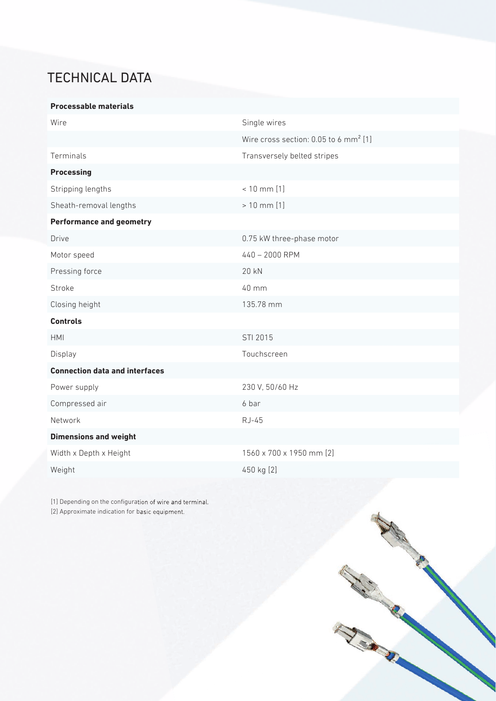# TECHNICAL DATA

#### **Processable materials**

| Wire                                  | Single wires                                      |
|---------------------------------------|---------------------------------------------------|
|                                       | Wire cross section: 0.05 to 6 mm <sup>2</sup> [1] |
| Terminals                             | Transversely belted stripes                       |
| <b>Processing</b>                     |                                                   |
| Stripping lengths                     | $< 10$ mm $[1]$                                   |
| Sheath-removal lengths                | $> 10$ mm $[1]$                                   |
| <b>Performance and geometry</b>       |                                                   |
| Drive                                 | 0.75 kW three-phase motor                         |
| Motor speed                           | 440 - 2000 RPM                                    |
| Pressing force                        | 20 kN                                             |
| Stroke                                | 40 mm                                             |
| Closing height                        | 135.78 mm                                         |
| <b>Controls</b>                       |                                                   |
| <b>HMI</b>                            | STI 2015                                          |
| Display                               | Touchscreen                                       |
| <b>Connection data and interfaces</b> |                                                   |
| Power supply                          | 230 V, 50/60 Hz                                   |
| Compressed air                        | 6 bar                                             |
| Network                               | RJ-45                                             |
| <b>Dimensions and weight</b>          |                                                   |
| Width x Depth x Height                | 1560 x 700 x 1950 mm [2]                          |
| Weight                                | 450 kg [2]                                        |

[1] Depending on the configuration of wire and terminal. [2] Approximate indication for basic equipment.